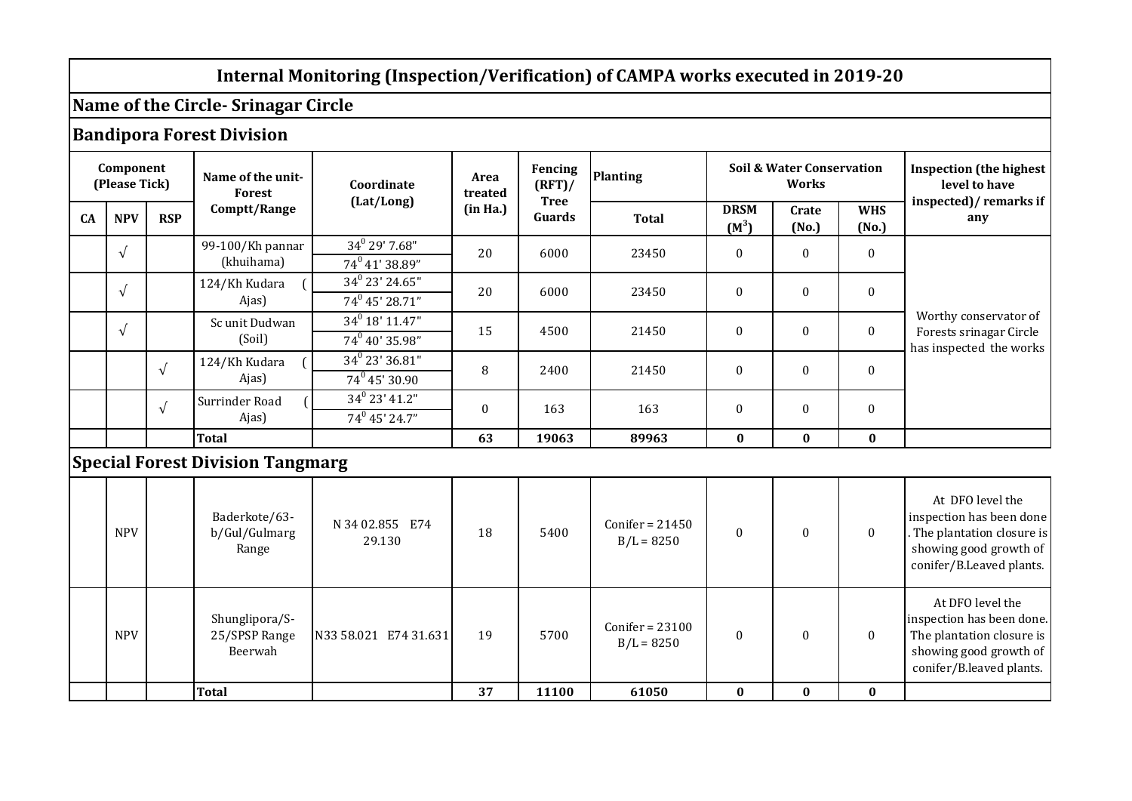## **Internal Monitoring (Inspection/Verification) of CAMPA works executed in 2019-20**

## **Name of the Circle- Srinagar Circle**

## **Bandipora Forest Division**

| Component<br>(Please Tick) |            |            | Name of the unit-<br>Forest             | Coordinate        | Area<br>treated | Fencing<br>$(RFT)$ /  | <b>Planting</b>   | <b>Soil &amp; Water Conservation</b><br>Works |                |                     | <b>Inspection (the highest)</b><br>level to have                            |
|----------------------------|------------|------------|-----------------------------------------|-------------------|-----------------|-----------------------|-------------------|-----------------------------------------------|----------------|---------------------|-----------------------------------------------------------------------------|
| <b>CA</b>                  | <b>NPV</b> | <b>RSP</b> | Comptt/Range                            | (Lat/Long)        | (in Ha.)        | <b>Tree</b><br>Guards | <b>Total</b>      | <b>DRSM</b><br>$(M^3)$                        | Crate<br>(No.) | <b>WHS</b><br>(No.) | inspected)/ remarks if<br>any                                               |
|                            | $\sqrt{ }$ |            | 99-100/Kh pannar                        | $34^0$ 29' 7.68"  | 20              | 6000                  | 23450             | $\theta$                                      | $\Omega$       | $\boldsymbol{0}$    | Worthy conservator of<br>Forests srinagar Circle<br>has inspected the works |
|                            |            |            | (khuihama)                              | $74^0$ 41' 38.89" |                 |                       |                   |                                               |                |                     |                                                                             |
|                            | $\sqrt{ }$ |            | 124/Kh Kudara<br>Ajas)                  | $34^0$ 23' 24.65" | 20              | 6000                  | 23450             | $\theta$                                      | $\mathbf{0}$   | $\boldsymbol{0}$    |                                                                             |
|                            |            |            |                                         | $74^0$ 45' 28.71" |                 |                       |                   |                                               |                |                     |                                                                             |
|                            | $\sqrt{ }$ |            | $34^0$ 18' 11.47"<br>Sc unit Dudwan     |                   | 15              | 4500                  | 21450             | $\theta$                                      | $\theta$       | $\mathbf{0}$        |                                                                             |
|                            |            |            | (Soil)                                  | $74^0$ 40' 35.98" |                 |                       |                   |                                               |                |                     |                                                                             |
|                            |            | $\sqrt{ }$ | 124/Kh Kudara<br>Ajas)                  | $34^0$ 23' 36.81" | 8<br>2400       |                       | 21450             | $\theta$                                      | $\theta$       | $\boldsymbol{0}$    |                                                                             |
|                            |            |            |                                         | $74^0$ 45' 30.90  |                 |                       |                   |                                               |                |                     |                                                                             |
|                            |            | $\sqrt{ }$ | Surrinder Road                          | $34^0$ 23' 41.2"  |                 | $\mathbf{0}$<br>163   | 163               | $\mathbf{0}$                                  | $\mathbf{0}$   | $\boldsymbol{0}$    |                                                                             |
|                            |            |            | Ajas)                                   | $74^0$ 45' 24.7"  |                 |                       |                   |                                               |                |                     |                                                                             |
|                            |            |            | <b>Total</b>                            |                   | 63              | 19063                 | 89963             | $\bf{0}$                                      | $\bf{0}$       | $\bf{0}$            |                                                                             |
|                            |            |            | <b>Special Forest Division Tangmarg</b> |                   |                 |                       |                   |                                               |                |                     |                                                                             |
|                            |            |            | Baderkote/63-                           | N 34 02 855 F74   |                 |                       | $Conifer = 21450$ |                                               |                |                     | At DFO level the<br>inspection has been done                                |

|            | Total                                      |                           | 37 | 11100 | 61050                             |  | 0 |                                                                                                                                  |
|------------|--------------------------------------------|---------------------------|----|-------|-----------------------------------|--|---|----------------------------------------------------------------------------------------------------------------------------------|
| <b>NPV</b> | Shunglipora/S-<br>25/SPSP Range<br>Beerwah | N33 58.021 E74 31.631     | 19 | 5700  | $Conifer = 23100$<br>$B/L = 8250$ |  |   | At DFO level the<br>inspection has been done.<br>The plantation closure is<br>showing good growth of<br>conifer/B.leaved plants. |
| <b>NPV</b> | Baderkote/63-<br>b/Gul/Gulmarg<br>Range    | N 34 02.855 E74<br>29.130 | 18 | 5400  | $Conifer = 21450$<br>$B/L = 8250$ |  |   | inspection has been done<br>The plantation closure is<br>showing good growth of<br>conifer/B.Leaved plants.                      |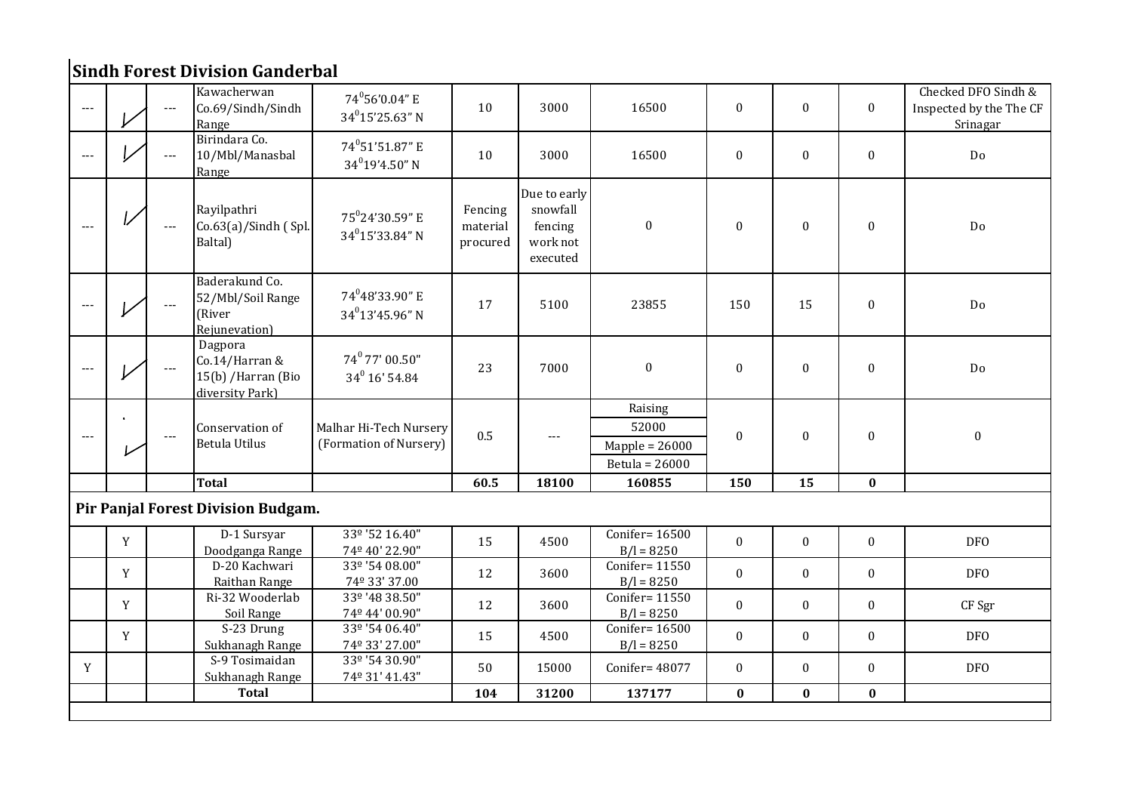## **Sindh Forest Division Ganderbal**

| $---$ |             |                | Kawacherwan<br>Co.69/Sindh/Sindh<br>Range                           | 74°56'0.04" E<br>$34^0$ 15'25.63" N                 | 10                              | 3000                                                        | 16500                                                  | $\mathbf{0}$     | $\mathbf{0}$     | $\mathbf{0}$     | Checked DFO Sindh &<br>Inspected by the The CF<br>Srinagar |
|-------|-------------|----------------|---------------------------------------------------------------------|-----------------------------------------------------|---------------------------------|-------------------------------------------------------------|--------------------------------------------------------|------------------|------------------|------------------|------------------------------------------------------------|
| $---$ |             | $\cdots$       | Birindara Co.<br>10/Mbl/Manasbal<br>Range                           | 74°51'51.87" E<br>$34^{0}19'4.50"$ N                | 10                              | 3000                                                        | 16500                                                  | $\mathbf{0}$     | $\mathbf{0}$     | $\mathbf{0}$     | Do                                                         |
|       |             | $\overline{a}$ | Rayilpathri<br>$Co.63(a)/Sindh$ (Spl.<br>Baltal)                    | 75 <sup>0</sup> 24'30.59" E<br>$34^{0}$ 15'33.84" N | Fencing<br>material<br>procured | Due to early<br>snowfall<br>fencing<br>work not<br>executed | $\boldsymbol{0}$                                       | $\boldsymbol{0}$ | $\boldsymbol{0}$ | $\Omega$         | Do                                                         |
|       |             | $\ldots$       | Baderakund Co.<br>52/Mbl/Soil Range<br>(River<br>Rejunevation)      | 74 <sup>0</sup> 48'33.90" E<br>$34^{0}$ 13'45.96" N | 17                              | 5100                                                        | 23855                                                  | 150              | 15               | $\boldsymbol{0}$ | Do                                                         |
|       |             |                | Dagpora<br>Co.14/Harran &<br>15(b) / Harran (Bio<br>diversity Park) | 74° 77' 00.50"<br>34 <sup>0</sup> 16' 54.84         | 23                              | 7000                                                        | $\boldsymbol{0}$                                       | $\boldsymbol{0}$ | $\boldsymbol{0}$ | $\mathbf{0}$     | Do                                                         |
|       | $\bullet$   | $---$          | Conservation of<br><b>Betula Utilus</b>                             | Malhar Hi-Tech Nursery<br>(Formation of Nursery)    | 0.5                             | $\cdots$                                                    | Raising<br>52000<br>$Mapple = 26000$<br>Betula = 26000 | $\mathbf{0}$     | $\boldsymbol{0}$ | $\mathbf{0}$     | $\boldsymbol{0}$                                           |
|       |             |                | <b>Total</b>                                                        |                                                     | 60.5                            | 18100                                                       | 160855                                                 | 150              | 15               | $\bf{0}$         |                                                            |
|       |             |                | Pir Panjal Forest Division Budgam.                                  |                                                     |                                 |                                                             |                                                        |                  |                  |                  |                                                            |
|       | $\mathbf Y$ |                | D-1 Sursyar<br>Doodganga Range                                      | 33º '52 16.40"<br>74º 40' 22.90"                    | 15                              | 4500                                                        | Conifer= 16500<br>$B/I = 8250$                         | $\mathbf{0}$     | $\mathbf{0}$     | $\mathbf 0$      | <b>DFO</b>                                                 |
|       | Y           |                | D-20 Kachwari<br>Raithan Range                                      | 33º '54 08.00"<br>74º 33' 37.00                     | 12                              | 3600                                                        | Conifer= 11550<br>$B/I = 8250$                         | $\mathbf{0}$     | $\mathbf{0}$     | $\mathbf{0}$     | DF <sub>O</sub>                                            |
|       | Y           |                | Ri-32 Wooderlab<br>Soil Range                                       | 33º '48 38.50"<br>74º 44' 00.90"                    | 12                              | 3600                                                        | Conifer= 11550<br>$B/I = 8250$                         | $\boldsymbol{0}$ | $\mathbf{0}$     | $\mathbf{0}$     | CF Sgr                                                     |
|       | Y           |                | S-23 Drung<br>Sukhanagh Range                                       | 33º '54 06.40"<br>74° 33' 27.00"                    | 15                              | 4500                                                        | Conifer= 16500<br>$B/I = 8250$                         | $\mathbf{0}$     | $\mathbf{0}$     | $\mathbf{0}$     | <b>DFO</b>                                                 |
| Y     |             |                | S-9 Tosimaidan<br>Sukhanagh Range                                   | 33º '54 30.90"<br>74º 31' 41.43"                    | 50                              | 15000                                                       | Conifer= 48077                                         | $\mathbf{0}$     | $\mathbf{0}$     | $\mathbf{0}$     | DF <sub>0</sub>                                            |
|       |             |                | <b>Total</b>                                                        |                                                     | 104                             | 31200                                                       | 137177                                                 | $\bf{0}$         | $\bf{0}$         | $\bf{0}$         |                                                            |
|       |             |                |                                                                     |                                                     |                                 |                                                             |                                                        |                  |                  |                  |                                                            |